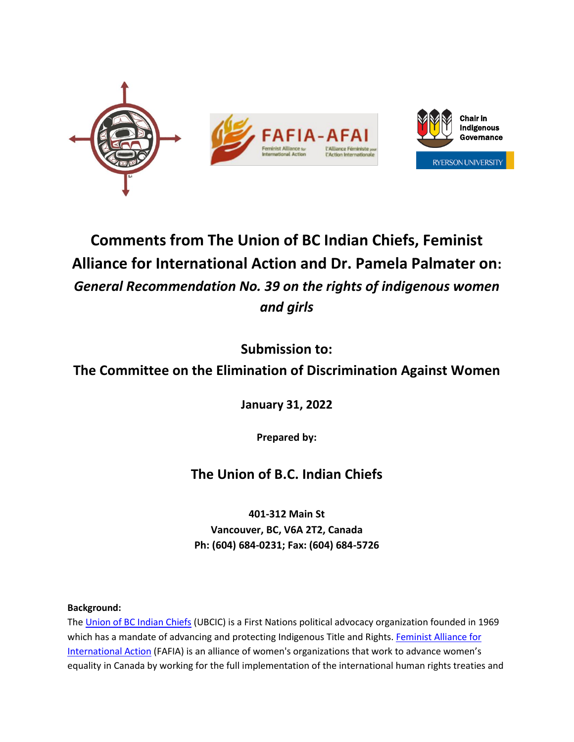

# **Comments from The Union of BC Indian Chiefs, Feminist Alliance for International Action and Dr. Pamela Palmater on:** *General Recommendation No. 39 on the rights of indigenous women and girls*

**Submission to:**

## **The Committee on the Elimination of Discrimination Against Women**

**January 31, 2022**

**Prepared by:**

## **The Union of B.C. Indian Chiefs**

**401-312 Main St Vancouver, BC, V6A 2T2, Canada Ph: (604) 684-0231; Fax: (604) 684-5726**

## **Background:**

The [Union of BC Indian Chiefs](https://www.ubcic.bc.ca/about) (UBCIC) is a First Nations political advocacy organization founded in 1969 which has a mandate of advancing and protecting Indigenous Title and Rights. [Feminist Alliance for](https://fafia-afai.org/en/)  [International Action](https://fafia-afai.org/en/) (FAFIA) is an alliance of women's organizations that work to advance women's equality in Canada by working for the full implementation of the international human rights treaties and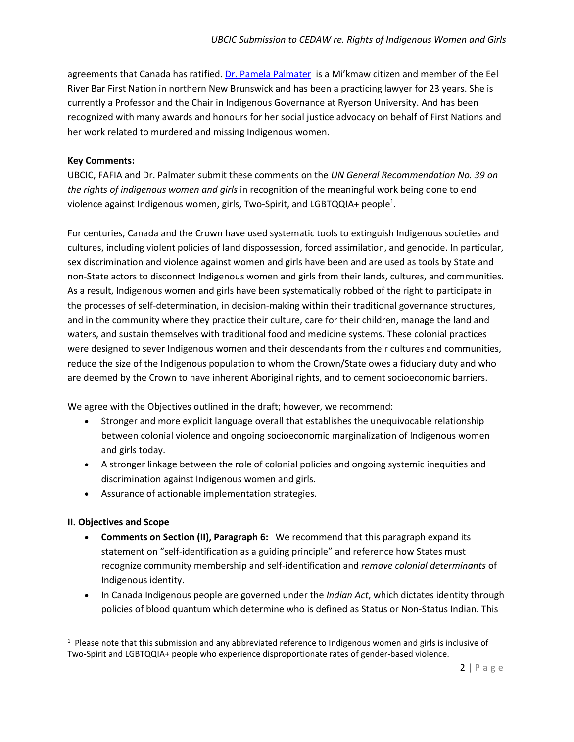agreements that Canada has ratified. [Dr. Pamela Palmater](https://pampalmater.com/about/) is a Mi'kmaw citizen and member of the Eel River Bar First Nation in northern New Brunswick and has been a practicing lawyer for 23 years. She is currently a Professor and the Chair in Indigenous Governance at Ryerson University. And has been recognized with many awards and honours for her social justice advocacy on behalf of First Nations and her work related to murdered and missing Indigenous women.

#### **Key Comments:**

UBCIC, FAFIA and Dr. Palmater submit these comments on the *UN General Recommendation No. 39 on the rights of indigenous women and girls* in recognition of the meaningful work being done to end violence against Indigenous women, girls, Two-Spirit, and LGBTQQIA+ people<sup>1</sup>.

For centuries, Canada and the Crown have used systematic tools to extinguish Indigenous societies and cultures, including violent policies of land dispossession, forced assimilation, and genocide. In particular, sex discrimination and violence against women and girls have been and are used as tools by State and non-State actors to disconnect Indigenous women and girls from their lands, cultures, and communities. As a result, Indigenous women and girls have been systematically robbed of the right to participate in the processes of self-determination, in decision-making within their traditional governance structures, and in the community where they practice their culture, care for their children, manage the land and waters, and sustain themselves with traditional food and medicine systems. These colonial practices were designed to sever Indigenous women and their descendants from their cultures and communities, reduce the size of the Indigenous population to whom the Crown/State owes a fiduciary duty and who are deemed by the Crown to have inherent Aboriginal rights, and to cement socioeconomic barriers.

We agree with the Objectives outlined in the draft; however, we recommend:

- Stronger and more explicit language overall that establishes the unequivocable relationship between colonial violence and ongoing socioeconomic marginalization of Indigenous women and girls today.
- A stronger linkage between the role of colonial policies and ongoing systemic inequities and discrimination against Indigenous women and girls.
- Assurance of actionable implementation strategies.

#### **II. Objectives and Scope**

- **Comments on Section (II), Paragraph 6:** We recommend that this paragraph expand its statement on "self-identification as a guiding principle" and reference how States must recognize community membership and self-identification and *remove colonial determinants* of Indigenous identity.
- In Canada Indigenous people are governed under the *Indian Act*, which dictates identity through policies of blood quantum which determine who is defined as Status or Non-Status Indian. This

 $1$  Please note that this submission and any abbreviated reference to Indigenous women and girls is inclusive of Two-Spirit and LGBTQQIA+ people who experience disproportionate rates of gender-based violence.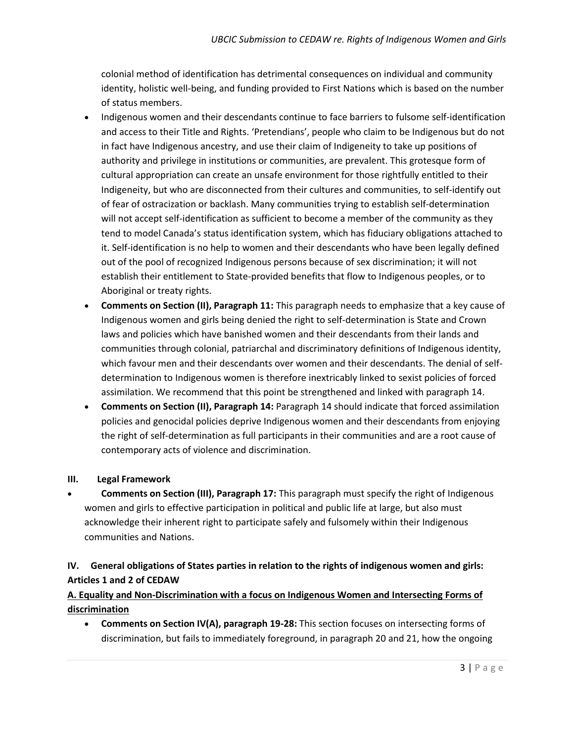colonial method of identification has detrimental consequences on individual and community identity, holistic well-being, and funding provided to First Nations which is based on the number of status members.

- Indigenous women and their descendants continue to face barriers to fulsome self-identification and access to their Title and Rights. 'Pretendians', people who claim to be Indigenous but do not in fact have Indigenous ancestry, and use their claim of Indigeneity to take up positions of authority and privilege in institutions or communities, are prevalent. This grotesque form of cultural appropriation can create an unsafe environment for those rightfully entitled to their Indigeneity, but who are disconnected from their cultures and communities, to self-identify out of fear of ostracization or backlash. Many communities trying to establish self-determination will not accept self-identification as sufficient to become a member of the community as they tend to model Canada's status identification system, which has fiduciary obligations attached to it. Self-identification is no help to women and their descendants who have been legally defined out of the pool of recognized Indigenous persons because of sex discrimination; it will not establish their entitlement to State-provided benefits that flow to Indigenous peoples, or to Aboriginal or treaty rights.
- **Comments on Section (II), Paragraph 11:** This paragraph needs to emphasize that a key cause of Indigenous women and girls being denied the right to self-determination is State and Crown laws and policies which have banished women and their descendants from their lands and communities through colonial, patriarchal and discriminatory definitions of Indigenous identity, which favour men and their descendants over women and their descendants. The denial of selfdetermination to Indigenous women is therefore inextricably linked to sexist policies of forced assimilation. We recommend that this point be strengthened and linked with paragraph 14.
- **Comments on Section (II), Paragraph 14:** Paragraph 14 should indicate that forced assimilation policies and genocidal policies deprive Indigenous women and their descendants from enjoying the right of self-determination as full participants in their communities and are a root cause of contemporary acts of violence and discrimination.

#### **III. Legal Framework**

• **Comments on Section (III), Paragraph 17:** This paragraph must specify the right of Indigenous women and girls to effective participation in political and public life at large, but also must acknowledge their inherent right to participate safely and fulsomely within their Indigenous communities and Nations.

## **IV. General obligations of States parties in relation to the rights of indigenous women and girls: Articles 1 and 2 of CEDAW**

## **A. Equality and Non-Discrimination with a focus on Indigenous Women and Intersecting Forms of discrimination**

• **Comments on Section IV(A), paragraph 19-28:** This section focuses on intersecting forms of discrimination, but fails to immediately foreground, in paragraph 20 and 21, how the ongoing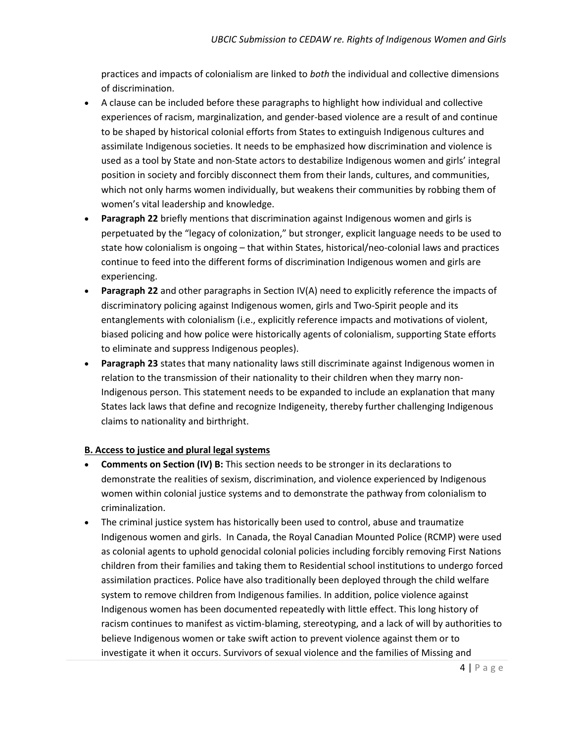practices and impacts of colonialism are linked to *both* the individual and collective dimensions of discrimination.

- A clause can be included before these paragraphs to highlight how individual and collective experiences of racism, marginalization, and gender-based violence are a result of and continue to be shaped by historical colonial efforts from States to extinguish Indigenous cultures and assimilate Indigenous societies. It needs to be emphasized how discrimination and violence is used as a tool by State and non-State actors to destabilize Indigenous women and girls' integral position in society and forcibly disconnect them from their lands, cultures, and communities, which not only harms women individually, but weakens their communities by robbing them of women's vital leadership and knowledge.
- **Paragraph 22** briefly mentions that discrimination against Indigenous women and girls is perpetuated by the "legacy of colonization," but stronger, explicit language needs to be used to state how colonialism is ongoing – that within States, historical/neo-colonial laws and practices continue to feed into the different forms of discrimination Indigenous women and girls are experiencing.
- **Paragraph 22** and other paragraphs in Section IV(A) need to explicitly reference the impacts of discriminatory policing against Indigenous women, girls and Two-Spirit people and its entanglements with colonialism (i.e., explicitly reference impacts and motivations of violent, biased policing and how police were historically agents of colonialism, supporting State efforts to eliminate and suppress Indigenous peoples).
- **Paragraph 23** states that many nationality laws still discriminate against Indigenous women in relation to the transmission of their nationality to their children when they marry non-Indigenous person. This statement needs to be expanded to include an explanation that many States lack laws that define and recognize Indigeneity, thereby further challenging Indigenous claims to nationality and birthright.

#### **B. Access to justice and plural legal systems**

- **Comments on Section (IV) B:** This section needs to be stronger in its declarations to demonstrate the realities of sexism, discrimination, and violence experienced by Indigenous women within colonial justice systems and to demonstrate the pathway from colonialism to criminalization.
- The criminal justice system has historically been used to control, abuse and traumatize Indigenous women and girls. In Canada, the Royal Canadian Mounted Police (RCMP) were used as colonial agents to uphold genocidal colonial policies including forcibly removing First Nations children from their families and taking them to Residential school institutions to undergo forced assimilation practices. Police have also traditionally been deployed through the child welfare system to remove children from Indigenous families. In addition, police violence against Indigenous women has been documented repeatedly with little effect. This long history of racism continues to manifest as victim-blaming, stereotyping, and a lack of will by authorities to believe Indigenous women or take swift action to prevent violence against them or to investigate it when it occurs. Survivors of sexual violence and the families of Missing and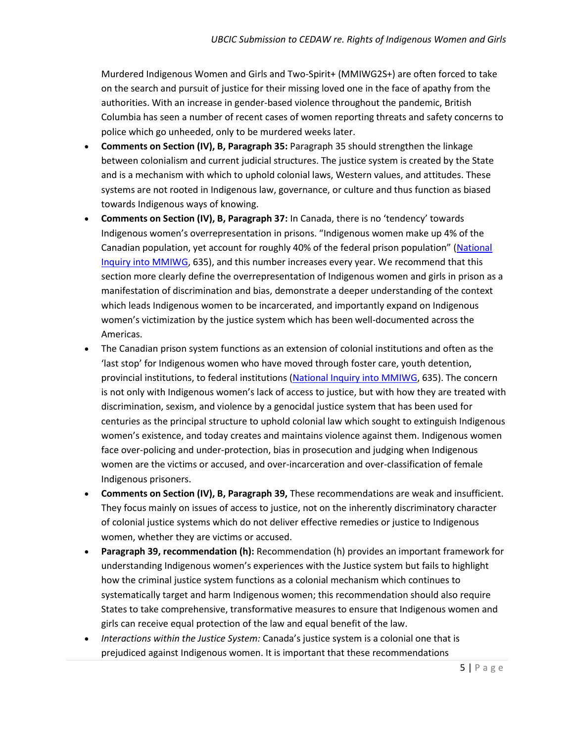Murdered Indigenous Women and Girls and Two-Spirit+ (MMIWG2S+) are often forced to take on the search and pursuit of justice for their missing loved one in the face of apathy from the authorities. With an increase in gender-based violence throughout the pandemic, British Columbia has seen a number of recent cases of women reporting threats and safety concerns to police which go unheeded, only to be murdered weeks later.

- **Comments on Section (IV), B, Paragraph 35:** Paragraph 35 should strengthen the linkage between colonialism and current judicial structures. The justice system is created by the State and is a mechanism with which to uphold colonial laws, Western values, and attitudes. These systems are not rooted in Indigenous law, governance, or culture and thus function as biased towards Indigenous ways of knowing.
- **Comments on Section (IV), B, Paragraph 37:** In Canada, there is no 'tendency' towards Indigenous women's overrepresentation in prisons. "Indigenous women make up 4% of the Canadian population, yet account for roughly 40% of the federal prison population" ([National](https://www.mmiwg-ffada.ca/final-report/)  [Inquiry into MMIWG,](https://www.mmiwg-ffada.ca/final-report/) 635), and this number increases every year. We recommend that this section more clearly define the overrepresentation of Indigenous women and girls in prison as a manifestation of discrimination and bias, demonstrate a deeper understanding of the context which leads Indigenous women to be incarcerated, and importantly expand on Indigenous women's victimization by the justice system which has been well-documented across the Americas.
- The Canadian prison system functions as an extension of colonial institutions and often as the 'last stop' for Indigenous women who have moved through foster care, youth detention, provincial institutions, to federal institutions [\(National Inquiry into MMIWG,](https://www.mmiwg-ffada.ca/final-report/) 635). The concern is not only with Indigenous women's lack of access to justice, but with how they are treated with discrimination, sexism, and violence by a genocidal justice system that has been used for centuries as the principal structure to uphold colonial law which sought to extinguish Indigenous women's existence, and today creates and maintains violence against them. Indigenous women face over-policing and under-protection, bias in prosecution and judging when Indigenous women are the victims or accused, and over-incarceration and over-classification of female Indigenous prisoners.
- **Comments on Section (IV), B, Paragraph 39,** These recommendations are weak and insufficient. They focus mainly on issues of access to justice, not on the inherently discriminatory character of colonial justice systems which do not deliver effective remedies or justice to Indigenous women, whether they are victims or accused.
- **Paragraph 39, recommendation (h):** Recommendation (h) provides an important framework for understanding Indigenous women's experiences with the Justice system but fails to highlight how the criminal justice system functions as a colonial mechanism which continues to systematically target and harm Indigenous women; this recommendation should also require States to take comprehensive, transformative measures to ensure that Indigenous women and girls can receive equal protection of the law and equal benefit of the law.
- *Interactions within the Justice System:* Canada's justice system is a colonial one that is prejudiced against Indigenous women. It is important that these recommendations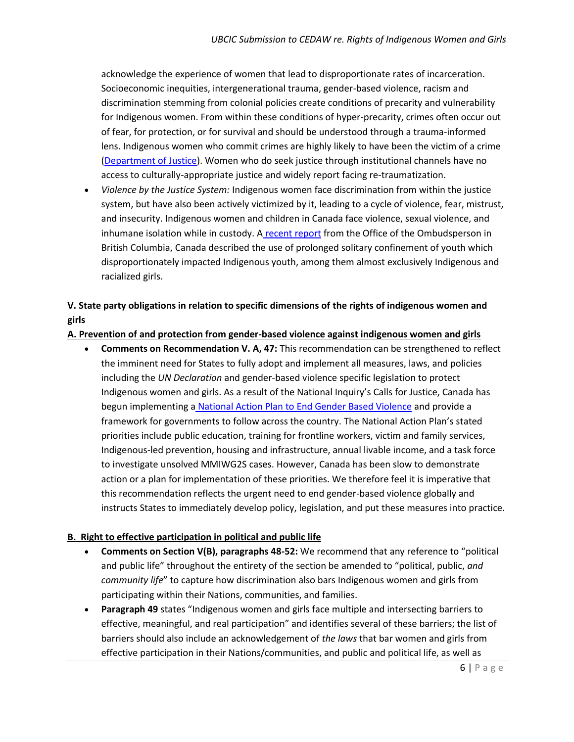acknowledge the experience of women that lead to disproportionate rates of incarceration. Socioeconomic inequities, intergenerational trauma, gender-based violence, racism and discrimination stemming from colonial policies create conditions of precarity and vulnerability for Indigenous women. From within these conditions of hyper-precarity, crimes often occur out of fear, for protection, or for survival and should be understood through a trauma-informed lens. Indigenous women who commit crimes are highly likely to have been the victim of a crime [\(Department of Justice\)](https://www.justice.gc.ca/eng/rp-pr/jr/jf-pf/2019/may01.html). Women who do seek justice through institutional channels have no access to culturally-appropriate justice and widely report facing re-traumatization.

• *Violence by the Justice System:* Indigenous women face discrimination from within the justice system, but have also been actively victimized by it, leading to a cycle of violence, fear, mistrust, and insecurity. Indigenous women and children in Canada face violence, sexual violence, and inhumane isolation while in custody. A [recent report](https://bcombudsperson.ca/investigative_report/alone-the-prolonged-and-repeated-isolation-of-youth-in-custody/) from the Office of the Ombudsperson in British Columbia, Canada described the use of prolonged solitary confinement of youth which disproportionately impacted Indigenous youth, among them almost exclusively Indigenous and racialized girls.

## **V. State party obligations in relation to specific dimensions of the rights of indigenous women and girls**

#### **A. Prevention of and protection from gender-based violence against indigenous women and girls**

• **Comments on Recommendation V. A, 47:** This recommendation can be strengthened to reflect the imminent need for States to fully adopt and implement all measures, laws, and policies including the *UN Declaration* and gender-based violence specific legislation to protect Indigenous women and girls. As a result of the National Inquiry's Calls for Justice, Canada has begun implementing a [National Action Plan to End Gender Based Violence](https://mmiwg2splus-nationalactionplan.ca/) and provide a framework for governments to follow across the country. The National Action Plan's stated priorities include public education, training for frontline workers, victim and family services, Indigenous-led prevention, housing and infrastructure, annual livable income, and a task force to investigate unsolved MMIWG2S cases. However, Canada has been slow to demonstrate action or a plan for implementation of these priorities. We therefore feel it is imperative that this recommendation reflects the urgent need to end gender-based violence globally and instructs States to immediately develop policy, legislation, and put these measures into practice.

#### **B. Right to effective participation in political and public life**

- **Comments on Section V(B), paragraphs 48-52:** We recommend that any reference to "political and public life" throughout the entirety of the section be amended to "political, public, *and community life*" to capture how discrimination also bars Indigenous women and girls from participating within their Nations, communities, and families.
- **Paragraph 49** states "Indigenous women and girls face multiple and intersecting barriers to effective, meaningful, and real participation" and identifies several of these barriers; the list of barriers should also include an acknowledgement of *the laws* that bar women and girls from effective participation in their Nations/communities, and public and political life, as well as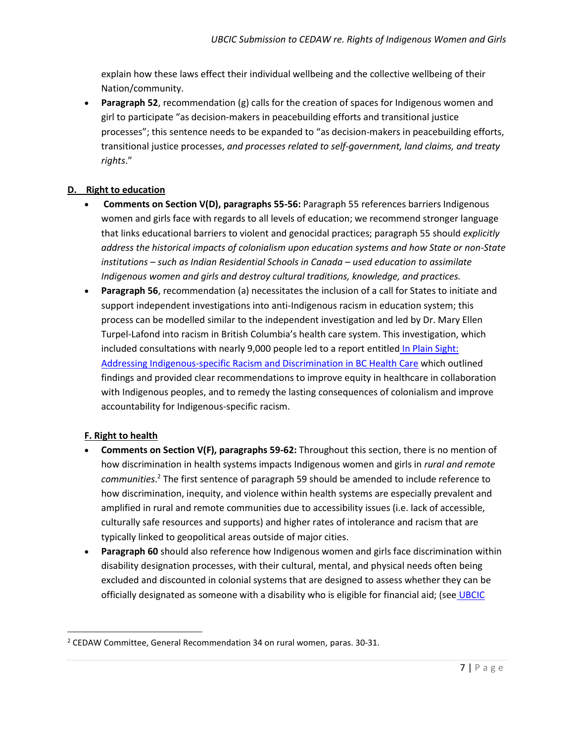explain how these laws effect their individual wellbeing and the collective wellbeing of their Nation/community.

• **Paragraph 52**, recommendation (g) calls for the creation of spaces for Indigenous women and girl to participate "as decision-makers in peacebuilding efforts and transitional justice processes"; this sentence needs to be expanded to "as decision-makers in peacebuilding efforts, transitional justice processes, *and processes related to self-government, land claims, and treaty rights*."

#### **D. Right to education**

- **Comments on Section V(D), paragraphs 55-56:** Paragraph 55 references barriers Indigenous women and girls face with regards to all levels of education; we recommend stronger language that links educational barriers to violent and genocidal practices; paragraph 55 should *explicitly address the historical impacts of colonialism upon education systems and how State or non-State institutions – such as Indian Residential Schools in Canada – used education to assimilate Indigenous women and girls and destroy cultural traditions, knowledge, and practices.*
- **Paragraph 56**, recommendation (a) necessitates the inclusion of a call for States to initiate and support independent investigations into anti-Indigenous racism in education system; this process can be modelled similar to the independent investigation and led by Dr. Mary Ellen Turpel-Lafond into racism in British Columbia's health care system. This investigation, which included consultations with nearly 9,000 people led to a report entitled [In Plain Sight:](https://engage.gov.bc.ca/app/uploads/sites/613/2020/11/In-Plain-Sight-Summary-Report.pdf)  [Addressing Indigenous-specific Racism and Discrimination in BC Health Care](https://engage.gov.bc.ca/app/uploads/sites/613/2020/11/In-Plain-Sight-Summary-Report.pdf) which outlined findings and provided clear recommendations to improve equity in healthcare in collaboration with Indigenous peoples, and to remedy the lasting consequences of colonialism and improve accountability for Indigenous-specific racism.

## **F. Right to health**

- **Comments on Section V(F), paragraphs 59-62:** Throughout this section, there is no mention of how discrimination in health systems impacts Indigenous women and girls in *rural and remote communities*. <sup>2</sup> The first sentence of paragraph 59 should be amended to include reference to how discrimination, inequity, and violence within health systems are especially prevalent and amplified in rural and remote communities due to accessibility issues (i.e. lack of accessible, culturally safe resources and supports) and higher rates of intolerance and racism that are typically linked to geopolitical areas outside of major cities.
- **Paragraph 60** should also reference how Indigenous women and girls face discrimination within disability designation processes, with their cultural, mental, and physical needs often being excluded and discounted in colonial systems that are designed to assess whether they can be officially designated as someone with a disability who is eligible for financial aid; (see [UBCIC](https://d3n8a8pro7vhmx.cloudfront.net/ubcic/pages/132/attachments/original/1615323503/2021FebCC_FinalResolutions_Combined.pdf?1615323503)

 $2$  CEDAW Committee, General Recommendation 34 on rural women, paras. 30-31.